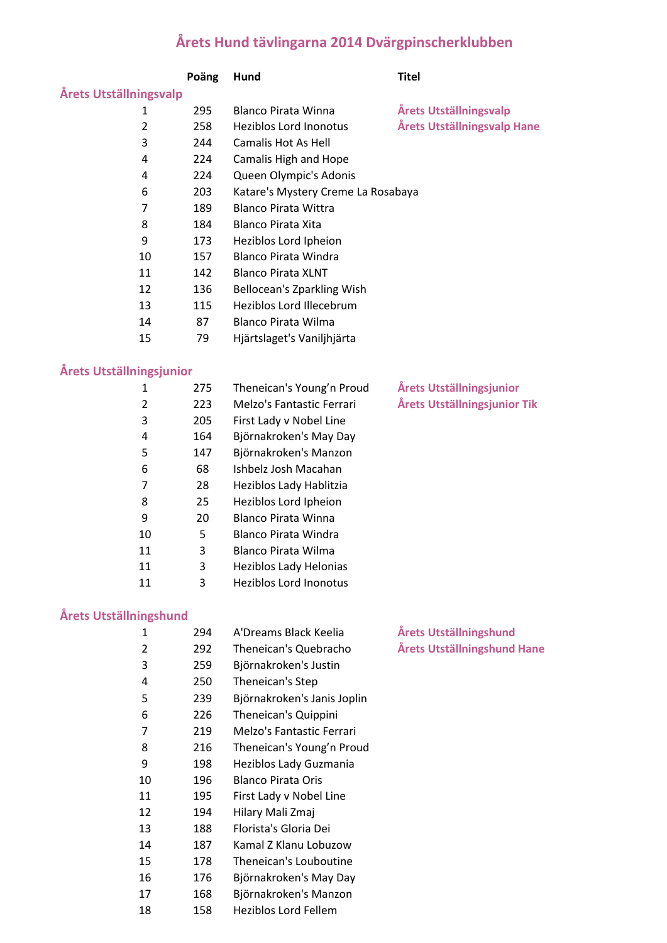## **Årets Hund tävlingarna 2014 Dvärgpinscherklubben**

|                                 | Poäng | Hund                               | <b>Titel</b>                    |  |  |  |
|---------------------------------|-------|------------------------------------|---------------------------------|--|--|--|
| <b>Årets Utställningsvalp</b>   |       |                                    |                                 |  |  |  |
| 1                               | 295   | <b>Blanco Pirata Winna</b>         | <b>Årets Utställningsvalp</b>   |  |  |  |
| $\overline{2}$                  | 258   | <b>Heziblos Lord Inonotus</b>      | Årets Utställningsvalp Hane     |  |  |  |
| 3                               | 244   | <b>Camalis Hot As Hell</b>         |                                 |  |  |  |
| 4                               | 224   | Camalis High and Hope              |                                 |  |  |  |
| 4                               | 224   | Queen Olympic's Adonis             |                                 |  |  |  |
| 6                               | 203   | Katare's Mystery Creme La Rosabaya |                                 |  |  |  |
| $\overline{7}$                  | 189   | <b>Blanco Pirata Wittra</b>        |                                 |  |  |  |
| 8                               | 184   | <b>Blanco Pirata Xita</b>          |                                 |  |  |  |
| 9                               | 173   | Heziblos Lord Ipheion              |                                 |  |  |  |
| 10                              | 157   | <b>Blanco Pirata Windra</b>        |                                 |  |  |  |
| 11                              | 142   | <b>Blanco Pirata XLNT</b>          |                                 |  |  |  |
| 12                              | 136   | Bellocean's Zparkling Wish         |                                 |  |  |  |
| 13                              | 115   | Heziblos Lord Illecebrum           |                                 |  |  |  |
| 14                              | 87    | <b>Blanco Pirata Wilma</b>         |                                 |  |  |  |
| 15                              | 79    | Hjärtslaget's Vaniljhjärta         |                                 |  |  |  |
| <b>Årets Utställningsjunior</b> |       |                                    |                                 |  |  |  |
| $\mathbf{1}$                    | 275   | Theneican's Young'n Proud          | <b>Årets Utställningsjunior</b> |  |  |  |
| $\overline{2}$                  | 223   | Melzo's Fantastic Ferrari          | Årets Utställningsjunior Tik    |  |  |  |
| 3                               | 205   | First Lady v Nobel Line            |                                 |  |  |  |
| 4                               | 164   | Björnakroken's May Day             |                                 |  |  |  |
| 5                               | 147   | Björnakroken's Manzon              |                                 |  |  |  |
| 6                               | 68    | Ishbelz Josh Macahan               |                                 |  |  |  |
| 7                               | 28    | Heziblos Lady Hablitzia            |                                 |  |  |  |
| 8                               | 25    | Heziblos Lord Ipheion              |                                 |  |  |  |
| 9                               | 20    | <b>Blanco Pirata Winna</b>         |                                 |  |  |  |
| 10                              | 5     | <b>Blanco Pirata Windra</b>        |                                 |  |  |  |
| 11                              | 3     | Blanco Pirata Wilma                |                                 |  |  |  |
| 11                              | 3     | Heziblos Lady Helonias             |                                 |  |  |  |
| 11                              | 3     | <b>Heziblos Lord Inonotus</b>      |                                 |  |  |  |

## **Årets Utställningshund**

| $\mathbf{1}$ | 294 | A'Dreams Black Keelia       | Årets Utställningshund      |
|--------------|-----|-----------------------------|-----------------------------|
| 2            | 292 | Theneican's Quebracho       | Årets Utställningshund Hane |
| 3            | 259 | Björnakroken's Justin       |                             |
| 4            | 250 | Theneican's Step            |                             |
| 5            | 239 | Björnakroken's Janis Joplin |                             |
| 6            | 226 | Theneican's Quippini        |                             |
| 7            | 219 | Melzo's Fantastic Ferrari   |                             |
| 8            | 216 | Theneican's Young'n Proud   |                             |
| 9            | 198 | Heziblos Lady Guzmania      |                             |
| 10           | 196 | <b>Blanco Pirata Oris</b>   |                             |
| 11           | 195 | First Lady v Nobel Line     |                             |
| 12           | 194 | Hilary Mali Zmaj            |                             |
| 13           | 188 | Florista's Gloria Dei       |                             |
| 14           | 187 | Kamal Z Klanu Lobuzow       |                             |
| 15           | 178 | Theneican's Louboutine      |                             |
| 16           | 176 | Björnakroken's May Day      |                             |
| 17           | 168 | Björnakroken's Manzon       |                             |
| 18           | 158 | <b>Heziblos Lord Fellem</b> |                             |
|              |     |                             |                             |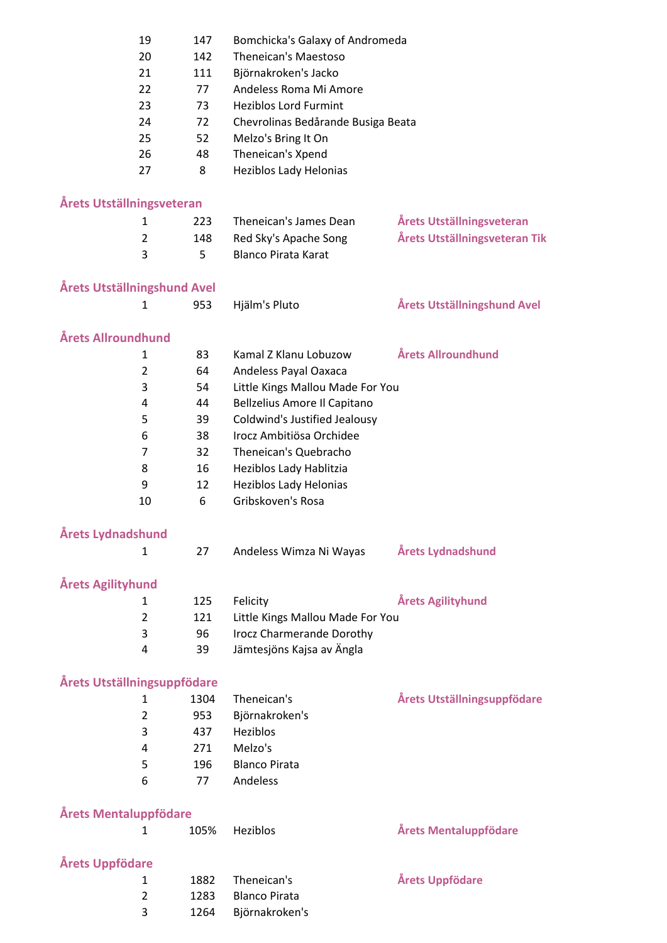|                              | 19             | 147  | Bomchicka's Galaxy of Andromeda             |                               |
|------------------------------|----------------|------|---------------------------------------------|-------------------------------|
|                              | 20             | 142  | Theneican's Maestoso                        |                               |
|                              | 21             | 111  | Björnakroken's Jacko                        |                               |
|                              | 22             | 77   | Andeless Roma Mi Amore                      |                               |
|                              | 23             | 73   | <b>Heziblos Lord Furmint</b>                |                               |
|                              | 24             | 72   | Chevrolinas Bedårande Busiga Beata          |                               |
|                              | 25             | 52   | Melzo's Bring It On                         |                               |
|                              | 26             | 48   | Theneican's Xpend                           |                               |
|                              | 27             | 8    | <b>Heziblos Lady Helonias</b>               |                               |
|                              |                |      |                                             |                               |
| Årets Utställningsveteran    |                |      |                                             |                               |
|                              | 1              | 223  | Theneican's James Dean                      | Årets Utställningsveteran     |
|                              | $\overline{2}$ | 148  | Red Sky's Apache Song                       | Årets Utställningsveteran Tik |
|                              | 3              | 5    | <b>Blanco Pirata Karat</b>                  |                               |
|                              |                |      |                                             |                               |
| Årets Utställningshund Avel  |                |      |                                             |                               |
|                              | $\mathbf{1}$   | 953  | Hjälm's Pluto                               | Årets Utställningshund Avel   |
|                              |                |      |                                             |                               |
| Årets Allroundhund           |                |      |                                             |                               |
|                              | 1              | 83   | Kamal Z Klanu Lobuzow                       | Årets Allroundhund            |
|                              | 2              | 64   | Andeless Payal Oaxaca                       |                               |
|                              | 3              | 54   | Little Kings Mallou Made For You            |                               |
|                              | 4              | 44   | Bellzelius Amore Il Capitano                |                               |
|                              | 5              | 39   | Coldwind's Justified Jealousy               |                               |
|                              | 6              | 38   | Irocz Ambitiösa Orchidee                    |                               |
|                              | 7              | 32   | Theneican's Quebracho                       |                               |
|                              | 8              | 16   | Heziblos Lady Hablitzia                     |                               |
|                              | 9              | 12   |                                             |                               |
|                              |                | 6    | Heziblos Lady Helonias<br>Gribskoven's Rosa |                               |
|                              | 10             |      |                                             |                               |
| Årets Lydnadshund            |                |      |                                             |                               |
|                              | 1              | 27   | Andeless Wimza Ni Wayas                     | Årets Lydnadshund             |
|                              |                |      |                                             |                               |
| <b>Årets Agilityhund</b>     |                |      |                                             |                               |
|                              | 1              | 125  | Felicity                                    | Årets Agilityhund             |
|                              | $\overline{2}$ | 121  | Little Kings Mallou Made For You            |                               |
|                              | 3              | 96   | <b>Irocz Charmerande Dorothy</b>            |                               |
|                              | 4              | 39   | Jämtesjöns Kajsa av Ängla                   |                               |
|                              |                |      |                                             |                               |
| Årets Utställningsuppfödare  |                |      |                                             |                               |
|                              | 1              | 1304 | Theneican's                                 | Årets Utställningsuppfödare   |
|                              | $\overline{2}$ | 953  | Björnakroken's                              |                               |
|                              | 3              | 437  | Heziblos                                    |                               |
|                              | 4              | 271  | Melzo's                                     |                               |
|                              |                |      |                                             |                               |
|                              | 5              | 196  | <b>Blanco Pirata</b>                        |                               |
|                              | 6              | 77   | Andeless                                    |                               |
| <b>Årets Mentaluppfödare</b> |                |      |                                             |                               |
|                              | 1              | 105% | Heziblos                                    | Årets Mentaluppfödare         |
|                              |                |      |                                             |                               |
| Årets Uppfödare              |                |      |                                             |                               |
|                              | $\mathbf{1}$   | 1882 | Theneican's                                 | Årets Uppfödare               |
|                              | 2              | 1283 | <b>Blanco Pirata</b>                        |                               |
|                              | 3              | 1264 | Björnakroken's                              |                               |
|                              |                |      |                                             |                               |